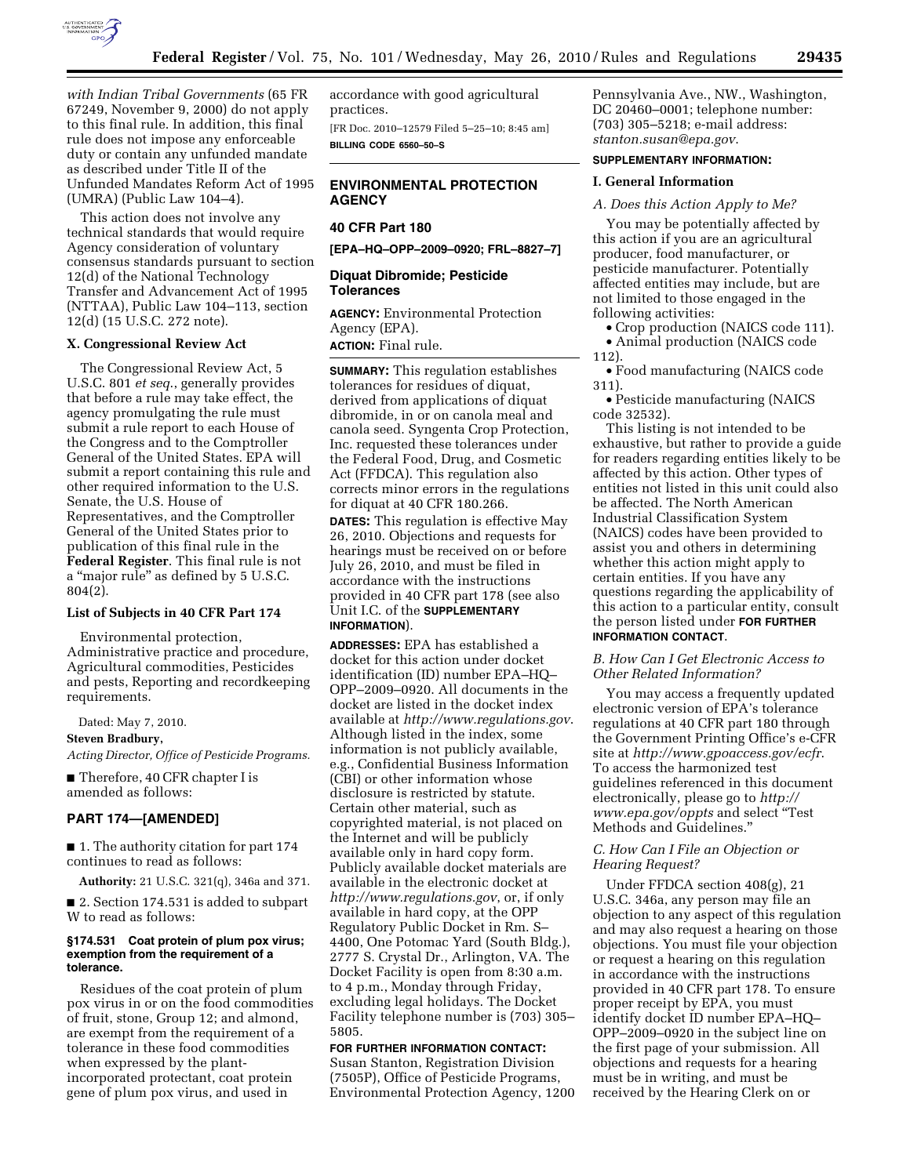

*with Indian Tribal Governments* (65 FR 67249, November 9, 2000) do not apply to this final rule. In addition, this final rule does not impose any enforceable duty or contain any unfunded mandate as described under Title II of the Unfunded Mandates Reform Act of 1995 (UMRA) (Public Law 104–4).

This action does not involve any technical standards that would require Agency consideration of voluntary consensus standards pursuant to section 12(d) of the National Technology Transfer and Advancement Act of 1995 (NTTAA), Public Law 104–113, section 12(d) (15 U.S.C. 272 note).

## **X. Congressional Review Act**

The Congressional Review Act, 5 U.S.C. 801 *et seq*., generally provides that before a rule may take effect, the agency promulgating the rule must submit a rule report to each House of the Congress and to the Comptroller General of the United States. EPA will submit a report containing this rule and other required information to the U.S. Senate, the U.S. House of Representatives, and the Comptroller General of the United States prior to publication of this final rule in the **Federal Register**. This final rule is not a ''major rule'' as defined by 5 U.S.C. 804(2).

### **List of Subjects in 40 CFR Part 174**

Environmental protection, Administrative practice and procedure, Agricultural commodities, Pesticides and pests, Reporting and recordkeeping requirements.

Dated: May 7, 2010. **Steven Bradbury,**  *Acting Director, Office of Pesticide Programs.* 

■ Therefore, 40 CFR chapter I is amended as follows:

#### **PART 174—[AMENDED]**

■ 1. The authority citation for part 174 continues to read as follows:

**Authority:** 21 U.S.C. 321(q), 346a and 371.

■ 2. Section 174.531 is added to subpart W to read as follows:

#### **§174.531 Coat protein of plum pox virus; exemption from the requirement of a tolerance.**

Residues of the coat protein of plum pox virus in or on the food commodities of fruit, stone, Group 12; and almond, are exempt from the requirement of a tolerance in these food commodities when expressed by the plantincorporated protectant, coat protein gene of plum pox virus, and used in

accordance with good agricultural practices.

[FR Doc. 2010–12579 Filed 5–25–10; 8:45 am] **BILLING CODE 6560–50–S** 

# **ENVIRONMENTAL PROTECTION AGENCY**

# **40 CFR Part 180**

**[EPA–HQ–OPP–2009–0920; FRL–8827–7]** 

## **Diquat Dibromide; Pesticide Tolerances**

**AGENCY:** Environmental Protection Agency (EPA). **ACTION:** Final rule.

**SUMMARY:** This regulation establishes tolerances for residues of diquat, derived from applications of diquat dibromide, in or on canola meal and canola seed. Syngenta Crop Protection, Inc. requested these tolerances under the Federal Food, Drug, and Cosmetic Act (FFDCA). This regulation also corrects minor errors in the regulations for diquat at 40 CFR 180.266. **DATES:** This regulation is effective May 26, 2010. Objections and requests for hearings must be received on or before July 26, 2010, and must be filed in accordance with the instructions provided in 40 CFR part 178 (see also Unit I.C. of the **SUPPLEMENTARY INFORMATION**).

**ADDRESSES:** EPA has established a docket for this action under docket identification (ID) number EPA–HQ– OPP–2009–0920. All documents in the docket are listed in the docket index available at *http://www.regulations.gov*. Although listed in the index, some information is not publicly available, e.g., Confidential Business Information (CBI) or other information whose disclosure is restricted by statute. Certain other material, such as copyrighted material, is not placed on the Internet and will be publicly available only in hard copy form. Publicly available docket materials are available in the electronic docket at *http://www.regulations.gov*, or, if only available in hard copy, at the OPP Regulatory Public Docket in Rm. S– 4400, One Potomac Yard (South Bldg.), 2777 S. Crystal Dr., Arlington, VA. The Docket Facility is open from 8:30 a.m. to 4 p.m., Monday through Friday, excluding legal holidays. The Docket Facility telephone number is (703) 305– 5805.

## **FOR FURTHER INFORMATION CONTACT:**

Susan Stanton, Registration Division (7505P), Office of Pesticide Programs, Environmental Protection Agency, 1200 Pennsylvania Ave., NW., Washington, DC 20460–0001; telephone number: (703) 305–5218; e-mail address: *stanton.susan@epa.gov*.

#### **SUPPLEMENTARY INFORMATION:**

#### **I. General Information**

### *A. Does this Action Apply to Me?*

You may be potentially affected by this action if you are an agricultural producer, food manufacturer, or pesticide manufacturer. Potentially affected entities may include, but are not limited to those engaged in the following activities:

• Crop production (NAICS code 111). • Animal production (NAICS code

112).

• Food manufacturing (NAICS code 311).

• Pesticide manufacturing (NAICS code 32532).

This listing is not intended to be exhaustive, but rather to provide a guide for readers regarding entities likely to be affected by this action. Other types of entities not listed in this unit could also be affected. The North American Industrial Classification System (NAICS) codes have been provided to assist you and others in determining whether this action might apply to certain entities. If you have any questions regarding the applicability of this action to a particular entity, consult the person listed under **FOR FURTHER INFORMATION CONTACT**.

*B. How Can I Get Electronic Access to Other Related Information?* 

You may access a frequently updated electronic version of EPA's tolerance regulations at 40 CFR part 180 through the Government Printing Office's e-CFR site at *http://www.gpoaccess.gov/ecfr*. To access the harmonized test guidelines referenced in this document electronically, please go to *http:// www.epa.gov/oppts* and select ''Test Methods and Guidelines.''

## *C. How Can I File an Objection or Hearing Request?*

Under FFDCA section 408(g), 21 U.S.C. 346a, any person may file an objection to any aspect of this regulation and may also request a hearing on those objections. You must file your objection or request a hearing on this regulation in accordance with the instructions provided in 40 CFR part 178. To ensure proper receipt by EPA, you must identify docket ID number EPA–HQ– OPP–2009–0920 in the subject line on the first page of your submission. All objections and requests for a hearing must be in writing, and must be received by the Hearing Clerk on or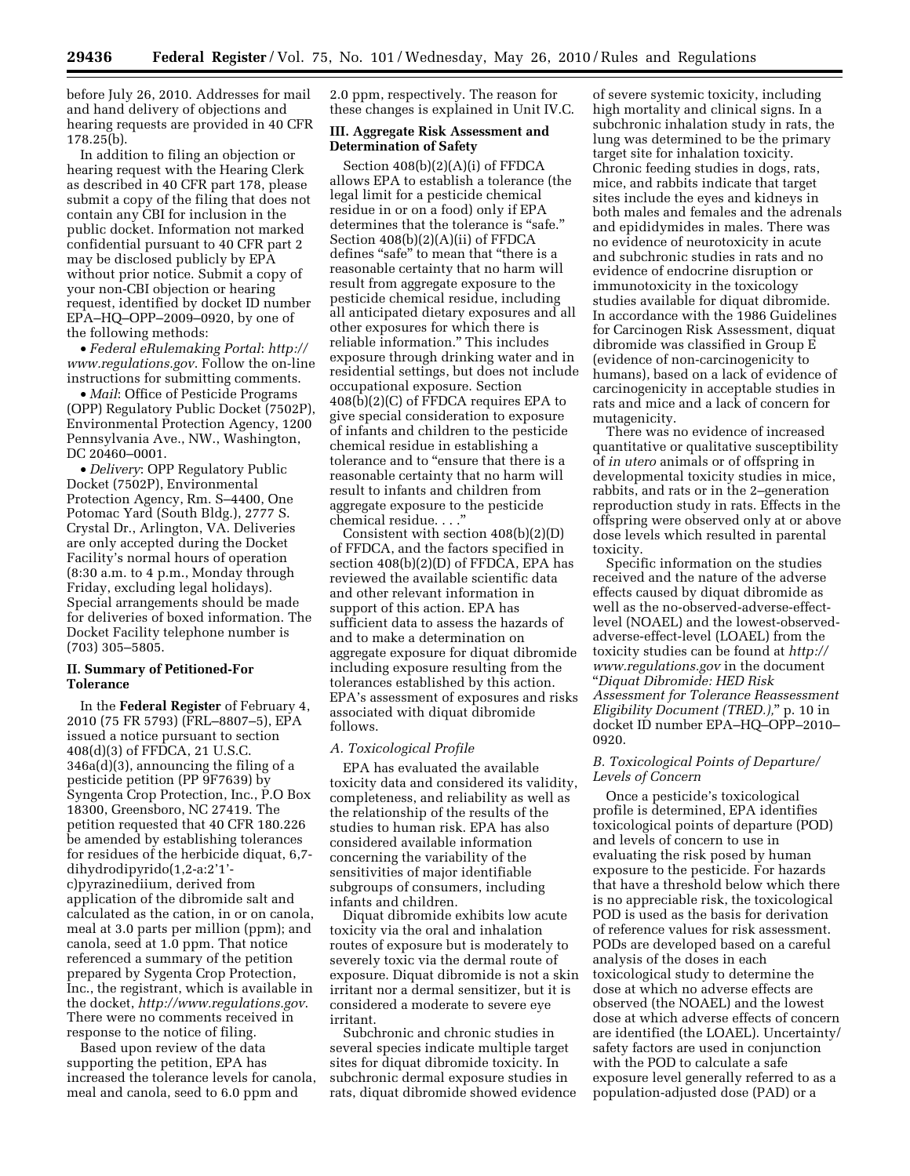before July 26, 2010. Addresses for mail and hand delivery of objections and hearing requests are provided in 40 CFR 178.25(b).

In addition to filing an objection or hearing request with the Hearing Clerk as described in 40 CFR part 178, please submit a copy of the filing that does not contain any CBI for inclusion in the public docket. Information not marked confidential pursuant to 40 CFR part 2 may be disclosed publicly by EPA without prior notice. Submit a copy of your non-CBI objection or hearing request, identified by docket ID number EPA–HQ–OPP–2009–0920, by one of the following methods:

• *Federal eRulemaking Portal*: *http:// www.regulations.gov*. Follow the on-line instructions for submitting comments.

• *Mail*: Office of Pesticide Programs (OPP) Regulatory Public Docket (7502P), Environmental Protection Agency, 1200 Pennsylvania Ave., NW., Washington, DC 20460–0001.

• *Delivery*: OPP Regulatory Public Docket (7502P), Environmental Protection Agency, Rm. S–4400, One Potomac Yard (South Bldg.), 2777 S. Crystal Dr., Arlington, VA. Deliveries are only accepted during the Docket Facility's normal hours of operation (8:30 a.m. to 4 p.m., Monday through Friday, excluding legal holidays). Special arrangements should be made for deliveries of boxed information. The Docket Facility telephone number is (703) 305–5805.

# **II. Summary of Petitioned-For Tolerance**

In the **Federal Register** of February 4, 2010 (75 FR 5793) (FRL–8807–5), EPA issued a notice pursuant to section 408(d)(3) of FFDCA, 21 U.S.C. 346a(d)(3), announcing the filing of a pesticide petition (PP 9F7639) by Syngenta Crop Protection, Inc., P.O Box 18300, Greensboro, NC 27419. The petition requested that 40 CFR 180.226 be amended by establishing tolerances for residues of the herbicide diquat, 6,7 dihydrodipyrido(1,2-a:2'1' c)pyrazinediium, derived from application of the dibromide salt and calculated as the cation, in or on canola, meal at 3.0 parts per million (ppm); and canola, seed at 1.0 ppm. That notice referenced a summary of the petition prepared by Sygenta Crop Protection, Inc., the registrant, which is available in the docket, *http://www.regulations.gov*. There were no comments received in response to the notice of filing.

Based upon review of the data supporting the petition, EPA has increased the tolerance levels for canola, meal and canola, seed to 6.0 ppm and

2.0 ppm, respectively. The reason for these changes is explained in Unit IV.C.

## **III. Aggregate Risk Assessment and Determination of Safety**

Section 408(b)(2)(A)(i) of FFDCA allows EPA to establish a tolerance (the legal limit for a pesticide chemical residue in or on a food) only if EPA determines that the tolerance is "safe." Section 408(b)(2)(A)(ii) of FFDCA defines "safe" to mean that "there is a reasonable certainty that no harm will result from aggregate exposure to the pesticide chemical residue, including all anticipated dietary exposures and all other exposures for which there is reliable information.'' This includes exposure through drinking water and in residential settings, but does not include occupational exposure. Section 408(b)(2)(C) of FFDCA requires EPA to give special consideration to exposure of infants and children to the pesticide chemical residue in establishing a tolerance and to "ensure that there is a reasonable certainty that no harm will result to infants and children from aggregate exposure to the pesticide chemical residue. . . .''

Consistent with section 408(b)(2)(D) of FFDCA, and the factors specified in section 408(b)(2)(D) of FFDCA, EPA has reviewed the available scientific data and other relevant information in support of this action. EPA has sufficient data to assess the hazards of and to make a determination on aggregate exposure for diquat dibromide including exposure resulting from the tolerances established by this action. EPA's assessment of exposures and risks associated with diquat dibromide follows.

#### *A. Toxicological Profile*

EPA has evaluated the available toxicity data and considered its validity, completeness, and reliability as well as the relationship of the results of the studies to human risk. EPA has also considered available information concerning the variability of the sensitivities of major identifiable subgroups of consumers, including infants and children.

Diquat dibromide exhibits low acute toxicity via the oral and inhalation routes of exposure but is moderately to severely toxic via the dermal route of exposure. Diquat dibromide is not a skin irritant nor a dermal sensitizer, but it is considered a moderate to severe eye irritant.

Subchronic and chronic studies in several species indicate multiple target sites for diquat dibromide toxicity. In subchronic dermal exposure studies in rats, diquat dibromide showed evidence

of severe systemic toxicity, including high mortality and clinical signs. In a subchronic inhalation study in rats, the lung was determined to be the primary target site for inhalation toxicity. Chronic feeding studies in dogs, rats, mice, and rabbits indicate that target sites include the eyes and kidneys in both males and females and the adrenals and epididymides in males. There was no evidence of neurotoxicity in acute and subchronic studies in rats and no evidence of endocrine disruption or immunotoxicity in the toxicology studies available for diquat dibromide. In accordance with the 1986 Guidelines for Carcinogen Risk Assessment, diquat dibromide was classified in Group E (evidence of non-carcinogenicity to humans), based on a lack of evidence of carcinogenicity in acceptable studies in rats and mice and a lack of concern for mutagenicity.

There was no evidence of increased quantitative or qualitative susceptibility of *in utero* animals or of offspring in developmental toxicity studies in mice, rabbits, and rats or in the 2–generation reproduction study in rats. Effects in the offspring were observed only at or above dose levels which resulted in parental toxicity.

Specific information on the studies received and the nature of the adverse effects caused by diquat dibromide as well as the no-observed-adverse-effectlevel (NOAEL) and the lowest-observedadverse-effect-level (LOAEL) from the toxicity studies can be found at *http:// www.regulations.gov* in the document ''*Diquat Dibromide: HED Risk Assessment for Tolerance Reassessment Eligibility Document (TRED.),*'' p. 10 in docket ID number EPA–HQ–OPP–2010– 0920.

## *B. Toxicological Points of Departure/ Levels of Concern*

Once a pesticide's toxicological profile is determined, EPA identifies toxicological points of departure (POD) and levels of concern to use in evaluating the risk posed by human exposure to the pesticide. For hazards that have a threshold below which there is no appreciable risk, the toxicological POD is used as the basis for derivation of reference values for risk assessment. PODs are developed based on a careful analysis of the doses in each toxicological study to determine the dose at which no adverse effects are observed (the NOAEL) and the lowest dose at which adverse effects of concern are identified (the LOAEL). Uncertainty/ safety factors are used in conjunction with the POD to calculate a safe exposure level generally referred to as a population-adjusted dose (PAD) or a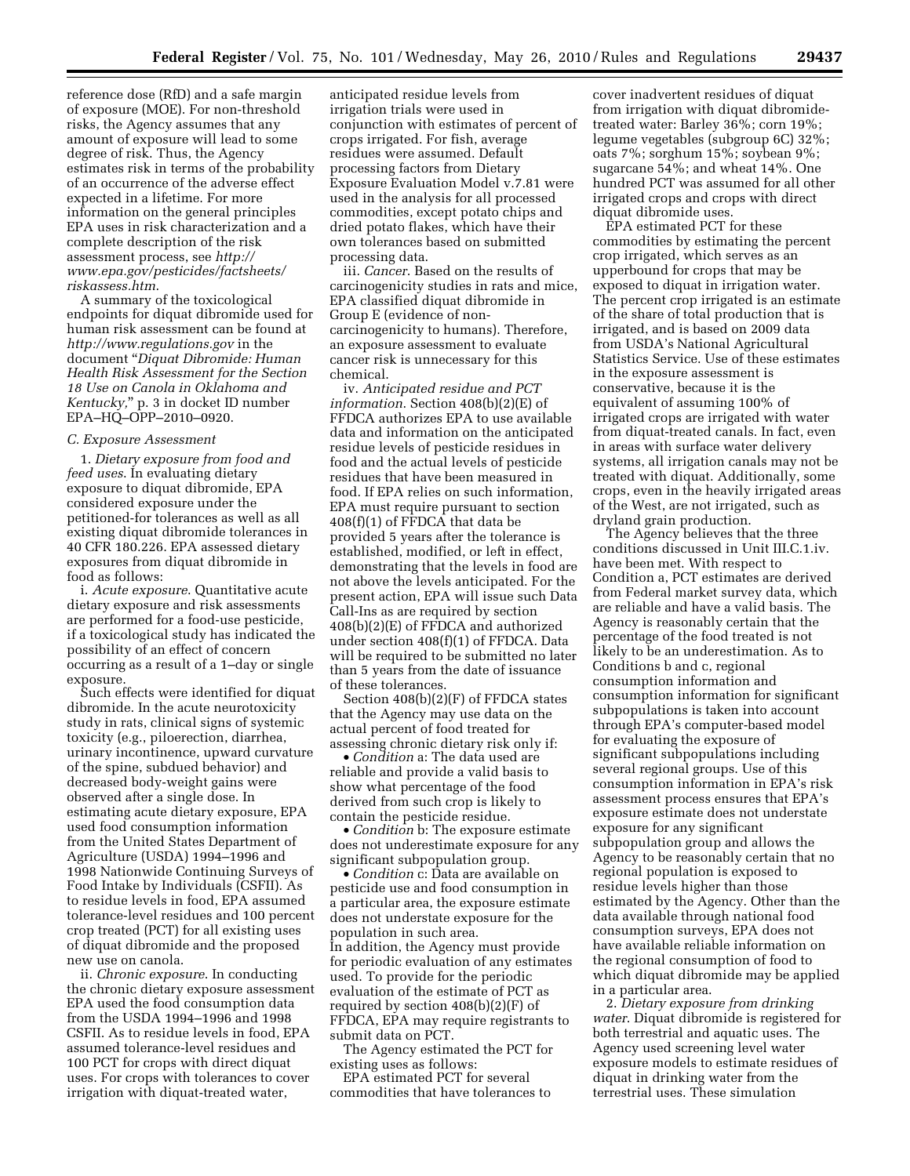reference dose (RfD) and a safe margin of exposure (MOE). For non-threshold risks, the Agency assumes that any amount of exposure will lead to some degree of risk. Thus, the Agency estimates risk in terms of the probability of an occurrence of the adverse effect expected in a lifetime. For more information on the general principles EPA uses in risk characterization and a complete description of the risk assessment process, see *http:// www.epa.gov/pesticides/factsheets/ riskassess.htm*.

A summary of the toxicological endpoints for diquat dibromide used for human risk assessment can be found at *http://www.regulations.gov* in the document ''*Diquat Dibromide: Human Health Risk Assessment for the Section 18 Use on Canola in Oklahoma and Kentucky,*'' p. 3 in docket ID number EPA–HQ–OPP–2010–0920.

#### *C. Exposure Assessment*

1. *Dietary exposure from food and feed uses*. In evaluating dietary exposure to diquat dibromide, EPA considered exposure under the petitioned-for tolerances as well as all existing diquat dibromide tolerances in 40 CFR 180.226. EPA assessed dietary exposures from diquat dibromide in food as follows:

i. *Acute exposure*. Quantitative acute dietary exposure and risk assessments are performed for a food-use pesticide, if a toxicological study has indicated the possibility of an effect of concern occurring as a result of a 1–day or single exposure.

Such effects were identified for diquat dibromide. In the acute neurotoxicity study in rats, clinical signs of systemic toxicity (e.g., piloerection, diarrhea, urinary incontinence, upward curvature of the spine, subdued behavior) and decreased body-weight gains were observed after a single dose. In estimating acute dietary exposure, EPA used food consumption information from the United States Department of Agriculture (USDA) 1994–1996 and 1998 Nationwide Continuing Surveys of Food Intake by Individuals (CSFII). As to residue levels in food, EPA assumed tolerance-level residues and 100 percent crop treated (PCT) for all existing uses of diquat dibromide and the proposed new use on canola.

ii. *Chronic exposure*. In conducting the chronic dietary exposure assessment EPA used the food consumption data from the USDA 1994–1996 and 1998 CSFII. As to residue levels in food, EPA assumed tolerance-level residues and 100 PCT for crops with direct diquat uses. For crops with tolerances to cover irrigation with diquat-treated water,

anticipated residue levels from irrigation trials were used in conjunction with estimates of percent of crops irrigated. For fish, average residues were assumed. Default processing factors from Dietary Exposure Evaluation Model v.7.81 were used in the analysis for all processed commodities, except potato chips and dried potato flakes, which have their own tolerances based on submitted processing data.

iii. *Cancer*. Based on the results of carcinogenicity studies in rats and mice, EPA classified diquat dibromide in Group E (evidence of noncarcinogenicity to humans). Therefore, an exposure assessment to evaluate cancer risk is unnecessary for this chemical.

iv. *Anticipated residue and PCT information*. Section 408(b)(2)(E) of FFDCA authorizes EPA to use available data and information on the anticipated residue levels of pesticide residues in food and the actual levels of pesticide residues that have been measured in food. If EPA relies on such information, EPA must require pursuant to section 408(f)(1) of FFDCA that data be provided 5 years after the tolerance is established, modified, or left in effect, demonstrating that the levels in food are not above the levels anticipated. For the present action, EPA will issue such Data Call-Ins as are required by section 408(b)(2)(E) of FFDCA and authorized under section 408(f)(1) of FFDCA. Data will be required to be submitted no later than 5 years from the date of issuance of these tolerances.

Section 408(b)(2)(F) of FFDCA states that the Agency may use data on the actual percent of food treated for assessing chronic dietary risk only if:

• *Condition* a: The data used are reliable and provide a valid basis to show what percentage of the food derived from such crop is likely to contain the pesticide residue.

• *Condition* b: The exposure estimate does not underestimate exposure for any significant subpopulation group.

• *Condition* c: Data are available on pesticide use and food consumption in a particular area, the exposure estimate does not understate exposure for the population in such area. In addition, the Agency must provide for periodic evaluation of any estimates used. To provide for the periodic evaluation of the estimate of PCT as required by section 408(b)(2)(F) of FFDCA, EPA may require registrants to submit data on PCT.

The Agency estimated the PCT for existing uses as follows:

EPA estimated PCT for several commodities that have tolerances to cover inadvertent residues of diquat from irrigation with diquat dibromidetreated water: Barley 36%; corn 19%; legume vegetables (subgroup 6C) 32%; oats 7%; sorghum 15%; soybean 9%; sugarcane 54%; and wheat 14%. One hundred PCT was assumed for all other irrigated crops and crops with direct diquat dibromide uses.

EPA estimated PCT for these commodities by estimating the percent crop irrigated, which serves as an upperbound for crops that may be exposed to diquat in irrigation water. The percent crop irrigated is an estimate of the share of total production that is irrigated, and is based on 2009 data from USDA's National Agricultural Statistics Service. Use of these estimates in the exposure assessment is conservative, because it is the equivalent of assuming 100% of irrigated crops are irrigated with water from diquat-treated canals. In fact, even in areas with surface water delivery systems, all irrigation canals may not be treated with diquat. Additionally, some crops, even in the heavily irrigated areas of the West, are not irrigated, such as dryland grain production.

The Agency believes that the three conditions discussed in Unit III.C.1.iv. have been met. With respect to Condition a, PCT estimates are derived from Federal market survey data, which are reliable and have a valid basis. The Agency is reasonably certain that the percentage of the food treated is not likely to be an underestimation. As to Conditions b and c, regional consumption information and consumption information for significant subpopulations is taken into account through EPA's computer-based model for evaluating the exposure of significant subpopulations including several regional groups. Use of this consumption information in EPA's risk assessment process ensures that EPA's exposure estimate does not understate exposure for any significant subpopulation group and allows the Agency to be reasonably certain that no regional population is exposed to residue levels higher than those estimated by the Agency. Other than the data available through national food consumption surveys, EPA does not have available reliable information on the regional consumption of food to which diquat dibromide may be applied in a particular area.

2. *Dietary exposure from drinking water*. Diquat dibromide is registered for both terrestrial and aquatic uses. The Agency used screening level water exposure models to estimate residues of diquat in drinking water from the terrestrial uses. These simulation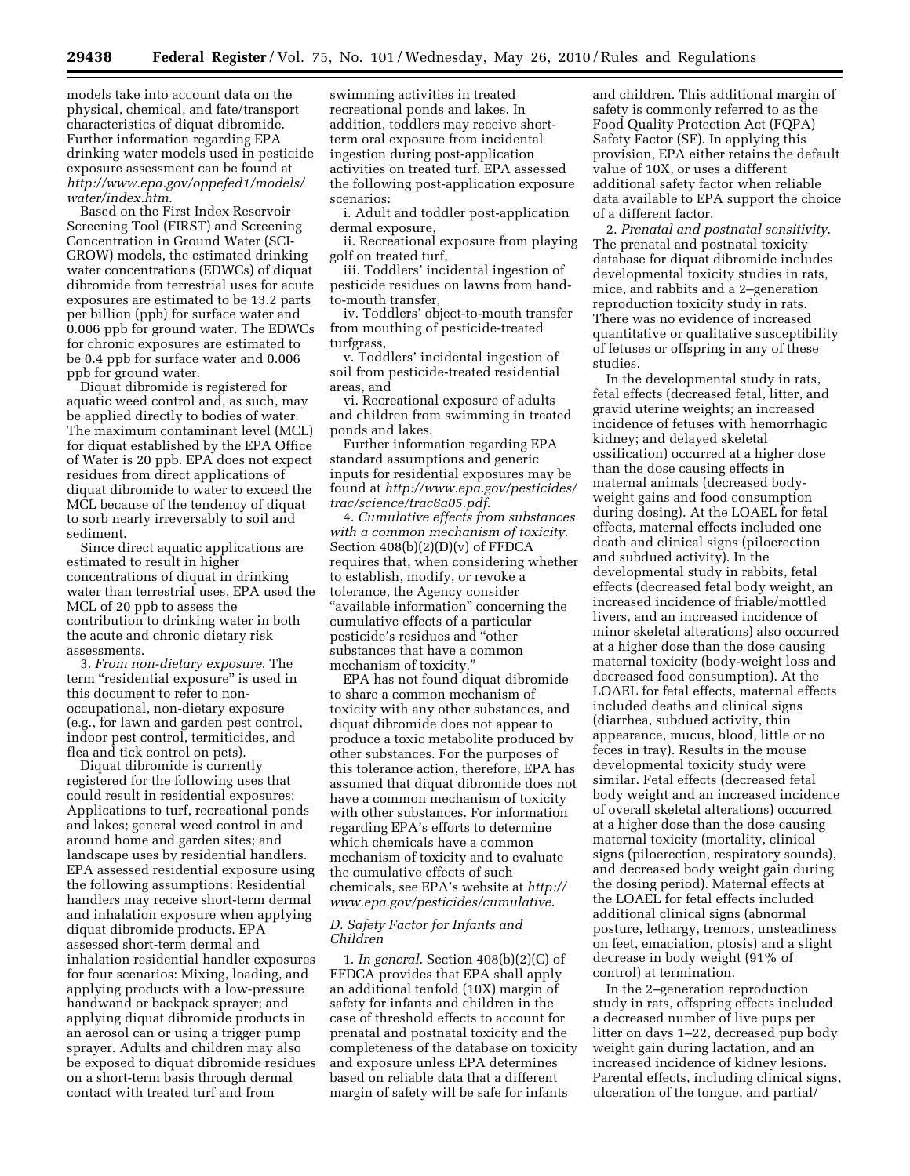models take into account data on the physical, chemical, and fate/transport characteristics of diquat dibromide. Further information regarding EPA drinking water models used in pesticide exposure assessment can be found at *http://www.epa.gov/oppefed1/models/ water/index.htm*.

Based on the First Index Reservoir Screening Tool (FIRST) and Screening Concentration in Ground Water (SCI-GROW) models, the estimated drinking water concentrations (EDWCs) of diquat dibromide from terrestrial uses for acute exposures are estimated to be 13.2 parts per billion (ppb) for surface water and 0.006 ppb for ground water. The EDWCs for chronic exposures are estimated to be 0.4 ppb for surface water and 0.006 ppb for ground water.

Diquat dibromide is registered for aquatic weed control and, as such, may be applied directly to bodies of water. The maximum contaminant level (MCL) for diquat established by the EPA Office of Water is 20 ppb. EPA does not expect residues from direct applications of diquat dibromide to water to exceed the MCL because of the tendency of diquat to sorb nearly irreversably to soil and sediment.

Since direct aquatic applications are estimated to result in higher concentrations of diquat in drinking water than terrestrial uses, EPA used the MCL of 20 ppb to assess the contribution to drinking water in both the acute and chronic dietary risk assessments.

3. *From non-dietary exposure*. The term "residential exposure" is used in this document to refer to nonoccupational, non-dietary exposure (e.g., for lawn and garden pest control, indoor pest control, termiticides, and flea and tick control on pets).

Diquat dibromide is currently registered for the following uses that could result in residential exposures: Applications to turf, recreational ponds and lakes; general weed control in and around home and garden sites; and landscape uses by residential handlers. EPA assessed residential exposure using the following assumptions: Residential handlers may receive short-term dermal and inhalation exposure when applying diquat dibromide products. EPA assessed short-term dermal and inhalation residential handler exposures for four scenarios: Mixing, loading, and applying products with a low-pressure handwand or backpack sprayer; and applying diquat dibromide products in an aerosol can or using a trigger pump sprayer. Adults and children may also be exposed to diquat dibromide residues on a short-term basis through dermal contact with treated turf and from

swimming activities in treated recreational ponds and lakes. In addition, toddlers may receive shortterm oral exposure from incidental ingestion during post-application activities on treated turf. EPA assessed the following post-application exposure scenarios:

i. Adult and toddler post-application dermal exposure,

ii. Recreational exposure from playing golf on treated turf,

iii. Toddlers' incidental ingestion of pesticide residues on lawns from handto-mouth transfer,

iv. Toddlers' object-to-mouth transfer from mouthing of pesticide-treated turfgrass,

v. Toddlers' incidental ingestion of soil from pesticide-treated residential areas, and

vi. Recreational exposure of adults and children from swimming in treated ponds and lakes.

Further information regarding EPA standard assumptions and generic inputs for residential exposures may be found at *http://www.epa.gov/pesticides/ trac/science/trac6a05.pdf*.

4. *Cumulative effects from substances with a common mechanism of toxicity*. Section 408(b)(2)(D)(v) of FFDCA requires that, when considering whether to establish, modify, or revoke a tolerance, the Agency consider ''available information'' concerning the cumulative effects of a particular pesticide's residues and ''other substances that have a common mechanism of toxicity.

EPA has not found diquat dibromide to share a common mechanism of toxicity with any other substances, and diquat dibromide does not appear to produce a toxic metabolite produced by other substances. For the purposes of this tolerance action, therefore, EPA has assumed that diquat dibromide does not have a common mechanism of toxicity with other substances. For information regarding EPA's efforts to determine which chemicals have a common mechanism of toxicity and to evaluate the cumulative effects of such chemicals, see EPA's website at *http:// www.epa.gov/pesticides/cumulative*.

## *D. Safety Factor for Infants and Children*

1. *In general*. Section 408(b)(2)(C) of FFDCA provides that EPA shall apply an additional tenfold (10X) margin of safety for infants and children in the case of threshold effects to account for prenatal and postnatal toxicity and the completeness of the database on toxicity and exposure unless EPA determines based on reliable data that a different margin of safety will be safe for infants

and children. This additional margin of safety is commonly referred to as the Food Quality Protection Act (FQPA) Safety Factor (SF). In applying this provision, EPA either retains the default value of 10X, or uses a different additional safety factor when reliable data available to EPA support the choice of a different factor.

2. *Prenatal and postnatal sensitivity*. The prenatal and postnatal toxicity database for diquat dibromide includes developmental toxicity studies in rats, mice, and rabbits and a 2–generation reproduction toxicity study in rats. There was no evidence of increased quantitative or qualitative susceptibility of fetuses or offspring in any of these studies.

In the developmental study in rats, fetal effects (decreased fetal, litter, and gravid uterine weights; an increased incidence of fetuses with hemorrhagic kidney; and delayed skeletal ossification) occurred at a higher dose than the dose causing effects in maternal animals (decreased bodyweight gains and food consumption during dosing). At the LOAEL for fetal effects, maternal effects included one death and clinical signs (piloerection and subdued activity). In the developmental study in rabbits, fetal effects (decreased fetal body weight, an increased incidence of friable/mottled livers, and an increased incidence of minor skeletal alterations) also occurred at a higher dose than the dose causing maternal toxicity (body-weight loss and decreased food consumption). At the LOAEL for fetal effects, maternal effects included deaths and clinical signs (diarrhea, subdued activity, thin appearance, mucus, blood, little or no feces in tray). Results in the mouse developmental toxicity study were similar. Fetal effects (decreased fetal body weight and an increased incidence of overall skeletal alterations) occurred at a higher dose than the dose causing maternal toxicity (mortality, clinical signs (piloerection, respiratory sounds), and decreased body weight gain during the dosing period). Maternal effects at the LOAEL for fetal effects included additional clinical signs (abnormal posture, lethargy, tremors, unsteadiness on feet, emaciation, ptosis) and a slight decrease in body weight (91% of control) at termination.

In the 2–generation reproduction study in rats, offspring effects included a decreased number of live pups per litter on days 1–22, decreased pup body weight gain during lactation, and an increased incidence of kidney lesions. Parental effects, including clinical signs, ulceration of the tongue, and partial/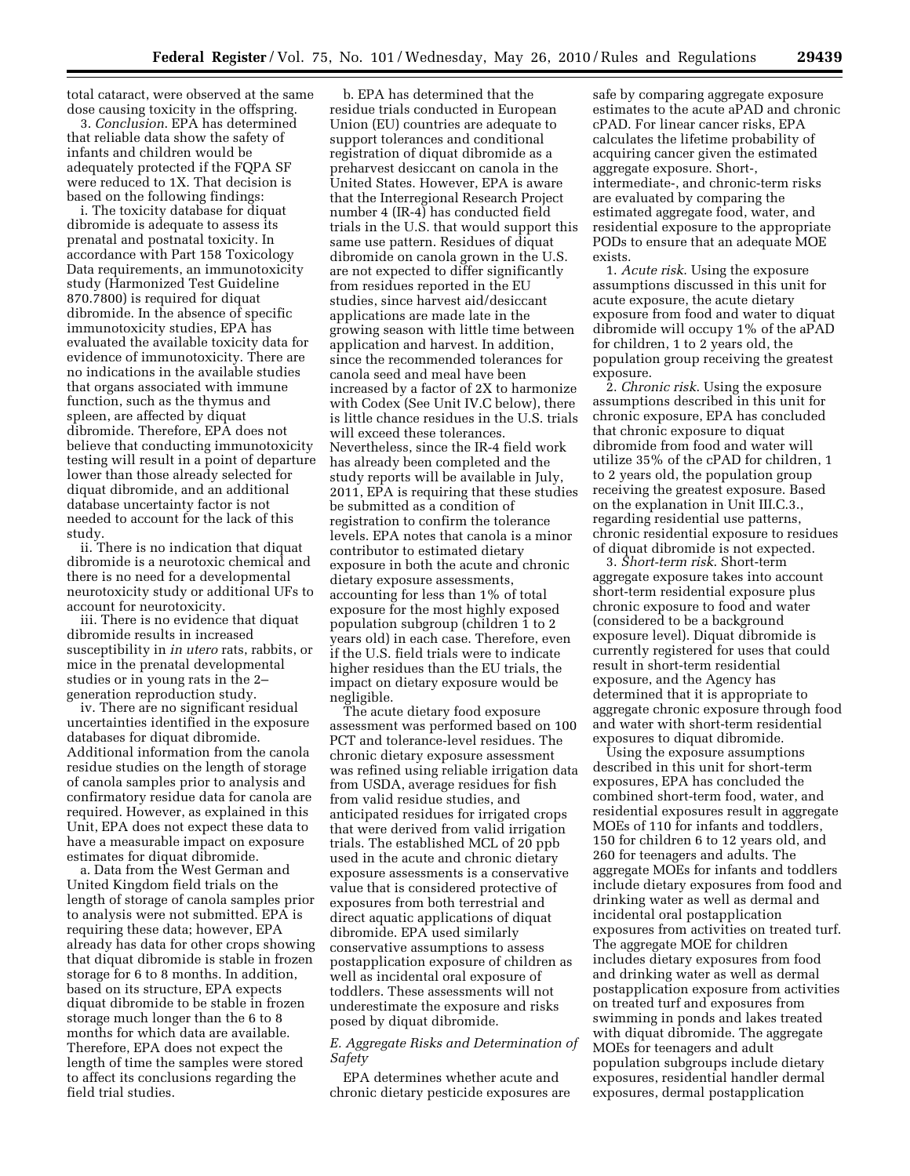total cataract, were observed at the same dose causing toxicity in the offspring.

3. *Conclusion*. EPA has determined that reliable data show the safety of infants and children would be adequately protected if the FQPA SF were reduced to 1X. That decision is based on the following findings:

i. The toxicity database for diquat dibromide is adequate to assess its prenatal and postnatal toxicity. In accordance with Part 158 Toxicology Data requirements, an immunotoxicity study (Harmonized Test Guideline 870.7800) is required for diquat dibromide. In the absence of specific immunotoxicity studies, EPA has evaluated the available toxicity data for evidence of immunotoxicity. There are no indications in the available studies that organs associated with immune function, such as the thymus and spleen, are affected by diquat dibromide. Therefore, EPA does not believe that conducting immunotoxicity testing will result in a point of departure lower than those already selected for diquat dibromide, and an additional database uncertainty factor is not needed to account for the lack of this study.

ii. There is no indication that diquat dibromide is a neurotoxic chemical and there is no need for a developmental neurotoxicity study or additional UFs to account for neurotoxicity.

iii. There is no evidence that diquat dibromide results in increased susceptibility in *in utero* rats, rabbits, or mice in the prenatal developmental studies or in young rats in the 2– generation reproduction study.

iv. There are no significant residual uncertainties identified in the exposure databases for diquat dibromide. Additional information from the canola residue studies on the length of storage of canola samples prior to analysis and confirmatory residue data for canola are required. However, as explained in this Unit, EPA does not expect these data to have a measurable impact on exposure estimates for diquat dibromide.

a. Data from the West German and United Kingdom field trials on the length of storage of canola samples prior to analysis were not submitted. EPA is requiring these data; however, EPA already has data for other crops showing that diquat dibromide is stable in frozen storage for 6 to 8 months. In addition, based on its structure, EPA expects diquat dibromide to be stable in frozen storage much longer than the 6 to 8 months for which data are available. Therefore, EPA does not expect the length of time the samples were stored to affect its conclusions regarding the field trial studies.

b. EPA has determined that the residue trials conducted in European Union (EU) countries are adequate to support tolerances and conditional registration of diquat dibromide as a preharvest desiccant on canola in the United States. However, EPA is aware that the Interregional Research Project number 4 (IR-4) has conducted field trials in the U.S. that would support this same use pattern. Residues of diquat dibromide on canola grown in the U.S. are not expected to differ significantly from residues reported in the EU studies, since harvest aid/desiccant applications are made late in the growing season with little time between application and harvest. In addition, since the recommended tolerances for canola seed and meal have been increased by a factor of 2X to harmonize with Codex (See Unit IV.C below), there is little chance residues in the U.S. trials will exceed these tolerances. Nevertheless, since the IR-4 field work has already been completed and the study reports will be available in July, 2011, EPA is requiring that these studies be submitted as a condition of registration to confirm the tolerance levels. EPA notes that canola is a minor contributor to estimated dietary exposure in both the acute and chronic dietary exposure assessments, accounting for less than 1% of total exposure for the most highly exposed population subgroup (children 1 to 2 years old) in each case. Therefore, even if the U.S. field trials were to indicate higher residues than the EU trials, the impact on dietary exposure would be negligible.

The acute dietary food exposure assessment was performed based on 100 PCT and tolerance-level residues. The chronic dietary exposure assessment was refined using reliable irrigation data from USDA, average residues for fish from valid residue studies, and anticipated residues for irrigated crops that were derived from valid irrigation trials. The established MCL of 20 ppb used in the acute and chronic dietary exposure assessments is a conservative value that is considered protective of exposures from both terrestrial and direct aquatic applications of diquat dibromide. EPA used similarly conservative assumptions to assess postapplication exposure of children as well as incidental oral exposure of toddlers. These assessments will not underestimate the exposure and risks posed by diquat dibromide.

## *E. Aggregate Risks and Determination of Safety*

EPA determines whether acute and chronic dietary pesticide exposures are safe by comparing aggregate exposure estimates to the acute aPAD and chronic cPAD. For linear cancer risks, EPA calculates the lifetime probability of acquiring cancer given the estimated aggregate exposure. Short-, intermediate-, and chronic-term risks are evaluated by comparing the estimated aggregate food, water, and residential exposure to the appropriate PODs to ensure that an adequate MOE exists.

1. *Acute risk*. Using the exposure assumptions discussed in this unit for acute exposure, the acute dietary exposure from food and water to diquat dibromide will occupy 1% of the aPAD for children, 1 to 2 years old, the population group receiving the greatest exposure.

2. *Chronic risk*. Using the exposure assumptions described in this unit for chronic exposure, EPA has concluded that chronic exposure to diquat dibromide from food and water will utilize 35% of the cPAD for children, 1 to 2 years old, the population group receiving the greatest exposure. Based on the explanation in Unit III.C.3., regarding residential use patterns, chronic residential exposure to residues of diquat dibromide is not expected.

3. *Short-term risk*. Short-term aggregate exposure takes into account short-term residential exposure plus chronic exposure to food and water (considered to be a background exposure level). Diquat dibromide is currently registered for uses that could result in short-term residential exposure, and the Agency has determined that it is appropriate to aggregate chronic exposure through food and water with short-term residential exposures to diquat dibromide.

Using the exposure assumptions described in this unit for short-term exposures, EPA has concluded the combined short-term food, water, and residential exposures result in aggregate MOEs of 110 for infants and toddlers, 150 for children 6 to 12 years old, and 260 for teenagers and adults. The aggregate MOEs for infants and toddlers include dietary exposures from food and drinking water as well as dermal and incidental oral postapplication exposures from activities on treated turf. The aggregate MOE for children includes dietary exposures from food and drinking water as well as dermal postapplication exposure from activities on treated turf and exposures from swimming in ponds and lakes treated with diquat dibromide. The aggregate MOEs for teenagers and adult population subgroups include dietary exposures, residential handler dermal exposures, dermal postapplication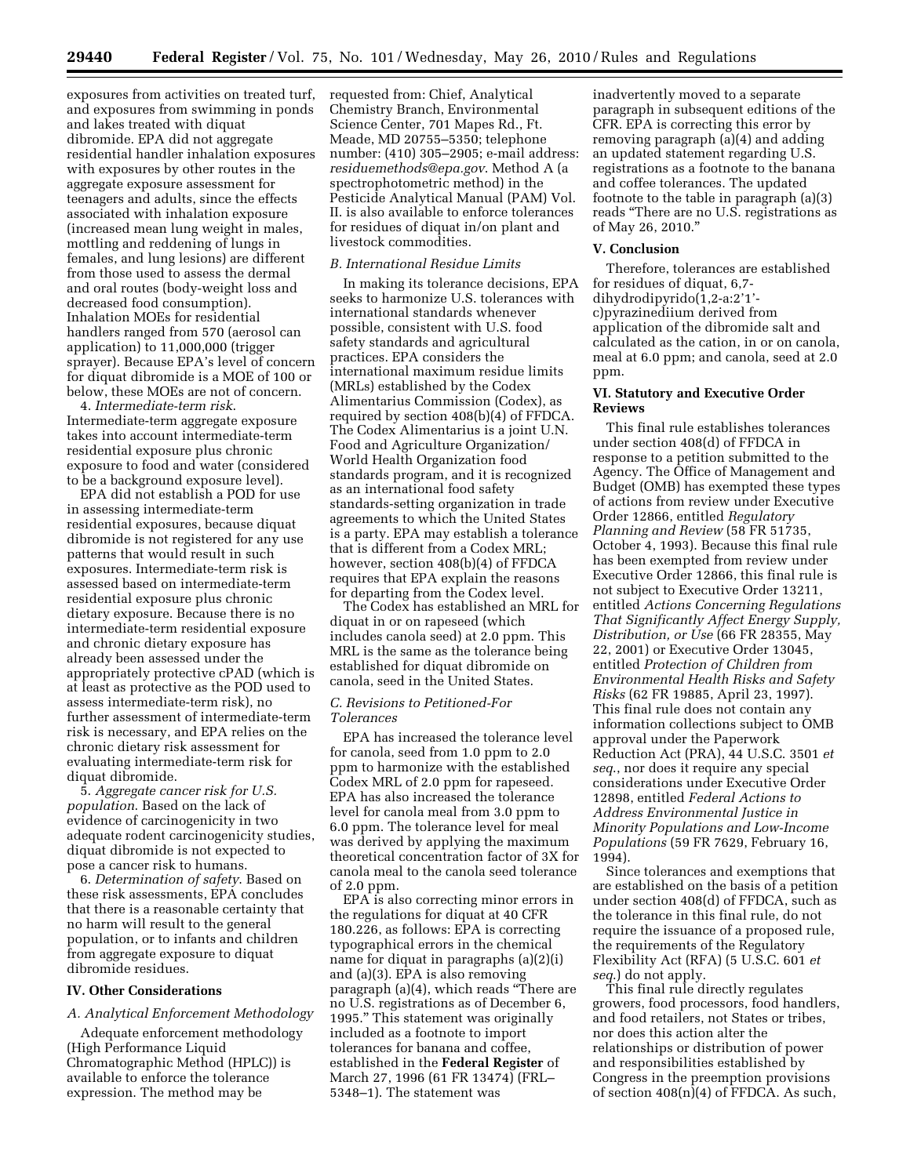exposures from activities on treated turf, and exposures from swimming in ponds and lakes treated with diquat dibromide. EPA did not aggregate residential handler inhalation exposures with exposures by other routes in the aggregate exposure assessment for teenagers and adults, since the effects associated with inhalation exposure (increased mean lung weight in males, mottling and reddening of lungs in females, and lung lesions) are different from those used to assess the dermal and oral routes (body-weight loss and decreased food consumption). Inhalation MOEs for residential handlers ranged from 570 (aerosol can application) to 11,000,000 (trigger sprayer). Because EPA's level of concern for diquat dibromide is a MOE of 100 or below, these MOEs are not of concern.

4. *Intermediate-term risk*. Intermediate-term aggregate exposure takes into account intermediate-term residential exposure plus chronic exposure to food and water (considered to be a background exposure level).

EPA did not establish a POD for use in assessing intermediate-term residential exposures, because diquat dibromide is not registered for any use patterns that would result in such exposures. Intermediate-term risk is assessed based on intermediate-term residential exposure plus chronic dietary exposure. Because there is no intermediate-term residential exposure and chronic dietary exposure has already been assessed under the appropriately protective cPAD (which is at least as protective as the POD used to assess intermediate-term risk), no further assessment of intermediate-term risk is necessary, and EPA relies on the chronic dietary risk assessment for evaluating intermediate-term risk for diquat dibromide.

5. *Aggregate cancer risk for U.S. population*. Based on the lack of evidence of carcinogenicity in two adequate rodent carcinogenicity studies, diquat dibromide is not expected to pose a cancer risk to humans.

6. *Determination of safety*. Based on these risk assessments, EPA concludes that there is a reasonable certainty that no harm will result to the general population, or to infants and children from aggregate exposure to diquat dibromide residues.

## **IV. Other Considerations**

### *A. Analytical Enforcement Methodology*

Adequate enforcement methodology (High Performance Liquid Chromatographic Method (HPLC)) is available to enforce the tolerance expression. The method may be

requested from: Chief, Analytical Chemistry Branch, Environmental Science Center, 701 Mapes Rd., Ft. Meade, MD 20755–5350; telephone number: (410) 305–2905; e-mail address: *residuemethods@epa.gov*. Method A (a spectrophotometric method) in the Pesticide Analytical Manual (PAM) Vol. II. is also available to enforce tolerances for residues of diquat in/on plant and livestock commodities.

#### *B. International Residue Limits*

In making its tolerance decisions, EPA seeks to harmonize U.S. tolerances with international standards whenever possible, consistent with U.S. food safety standards and agricultural practices. EPA considers the international maximum residue limits (MRLs) established by the Codex Alimentarius Commission (Codex), as required by section 408(b)(4) of FFDCA. The Codex Alimentarius is a joint U.N. Food and Agriculture Organization/ World Health Organization food standards program, and it is recognized as an international food safety standards-setting organization in trade agreements to which the United States is a party. EPA may establish a tolerance that is different from a Codex MRL; however, section 408(b)(4) of FFDCA requires that EPA explain the reasons for departing from the Codex level.

The Codex has established an MRL for diquat in or on rapeseed (which includes canola seed) at 2.0 ppm. This MRL is the same as the tolerance being established for diquat dibromide on canola, seed in the United States.

## *C. Revisions to Petitioned-For Tolerances*

EPA has increased the tolerance level for canola, seed from 1.0 ppm to 2.0 ppm to harmonize with the established Codex MRL of 2.0 ppm for rapeseed. EPA has also increased the tolerance level for canola meal from 3.0 ppm to 6.0 ppm. The tolerance level for meal was derived by applying the maximum theoretical concentration factor of 3X for canola meal to the canola seed tolerance of 2.0 ppm.

EPA is also correcting minor errors in the regulations for diquat at 40 CFR 180.226, as follows: EPA is correcting typographical errors in the chemical name for diquat in paragraphs (a)(2)(i) and (a)(3). EPA is also removing paragraph (a)(4), which reads ''There are no U.S. registrations as of December 6, 1995.'' This statement was originally included as a footnote to import tolerances for banana and coffee, established in the **Federal Register** of March 27, 1996 (61 FR 13474) (FRL– 5348–1). The statement was

inadvertently moved to a separate paragraph in subsequent editions of the CFR. EPA is correcting this error by removing paragraph (a)(4) and adding an updated statement regarding U.S. registrations as a footnote to the banana and coffee tolerances. The updated footnote to the table in paragraph (a)(3) reads ''There are no U.S. registrations as of May 26, 2010.''

#### **V. Conclusion**

Therefore, tolerances are established for residues of diquat, 6,7 dihydrodipyrido(1,2-a:2'1' c)pyrazinediium derived from application of the dibromide salt and calculated as the cation, in or on canola, meal at 6.0 ppm; and canola, seed at 2.0 ppm.

#### **VI. Statutory and Executive Order Reviews**

This final rule establishes tolerances under section 408(d) of FFDCA in response to a petition submitted to the Agency. The Office of Management and Budget (OMB) has exempted these types of actions from review under Executive Order 12866, entitled *Regulatory Planning and Review* (58 FR 51735, October 4, 1993). Because this final rule has been exempted from review under Executive Order 12866, this final rule is not subject to Executive Order 13211, entitled *Actions Concerning Regulations That Significantly Affect Energy Supply, Distribution, or Use* (66 FR 28355, May 22, 2001) or Executive Order 13045, entitled *Protection of Children from Environmental Health Risks and Safety Risks* (62 FR 19885, April 23, 1997). This final rule does not contain any information collections subject to OMB approval under the Paperwork Reduction Act (PRA), 44 U.S.C. 3501 *et seq*., nor does it require any special considerations under Executive Order 12898, entitled *Federal Actions to Address Environmental Justice in Minority Populations and Low-Income Populations* (59 FR 7629, February 16, 1994).

Since tolerances and exemptions that are established on the basis of a petition under section 408(d) of FFDCA, such as the tolerance in this final rule, do not require the issuance of a proposed rule, the requirements of the Regulatory Flexibility Act (RFA) (5 U.S.C. 601 *et seq*.) do not apply.

This final rule directly regulates growers, food processors, food handlers, and food retailers, not States or tribes, nor does this action alter the relationships or distribution of power and responsibilities established by Congress in the preemption provisions of section 408(n)(4) of FFDCA. As such,